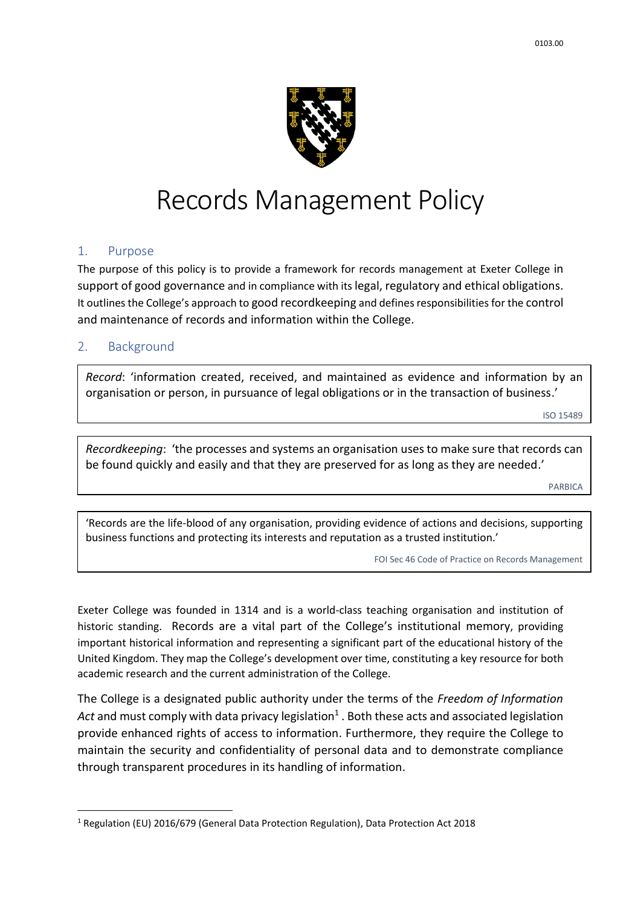

# Records Management Policy

## 1. Purpose

The purpose of this policy is to provide a framework for records management at Exeter College in support of good governance and in compliance with its legal, regulatory and ethical obligations. It outlines the College's approach to good recordkeeping and defines responsibilities for the control and maintenance of records and information within the College.

## 2. Background

**.** 

*Record*: 'information created, received, and maintained as evidence and information by an organisation or person, in pursuance of legal obligations or in the transaction of business.'

ISO 15489

*Recordkeeping*: 'the processes and systems an organisation uses to make sure that records can be found quickly and easily and that they are preserved for as long as they are needed.'

PARBICA

'Records are the life-blood of any organisation, providing evidence of actions and decisions, supporting business functions and protecting its interests and reputation as a trusted institution.'

FOI Sec 46 Code of Practice on Records Management

Exeter College was founded in 1314 and is a world-class teaching organisation and institution of historic standing. Records are a vital part of the College's institutional memory, providing important historical information and representing a significant part of the educational history of the United Kingdom. They map the College's development over time, constituting a key resource for both academic research and the current administration of the College.

The College is a designated public authority under the terms of the *Freedom of Information*  Act and must comply with data privacy legislation<sup>1</sup> . Both these acts and associated legislation provide enhanced rights of access to information. Furthermore, they require the College to maintain the security and confidentiality of personal data and to demonstrate compliance through transparent procedures in its handling of information.

<sup>1</sup> Regulation (EU) 2016/679 (General Data Protection Regulation), Data Protection Act 2018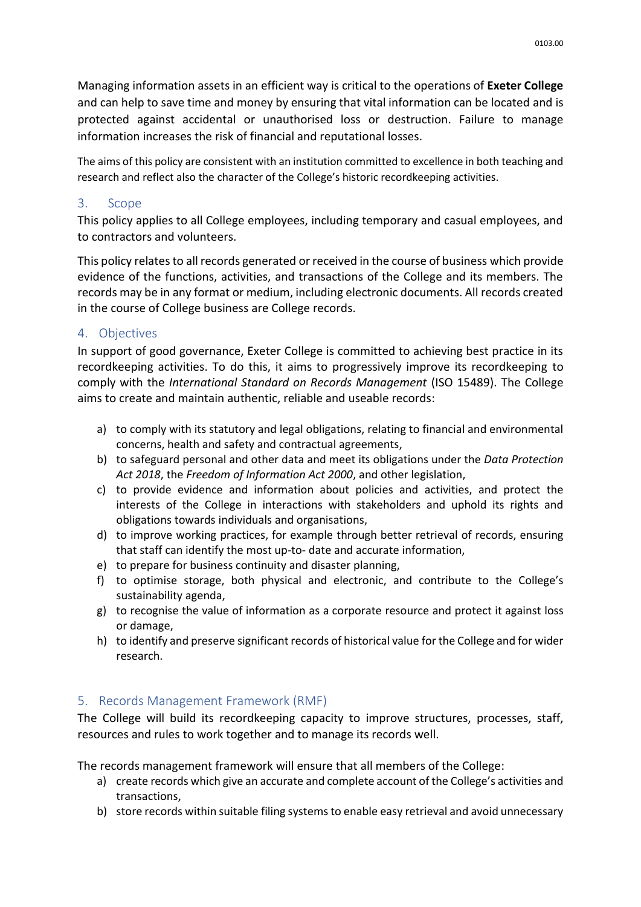Managing information assets in an efficient way is critical to the operations of **Exeter College** and can help to save time and money by ensuring that vital information can be located and is protected against accidental or unauthorised loss or destruction. Failure to manage information increases the risk of financial and reputational losses.

The aims of this policy are consistent with an institution committed to excellence in both teaching and research and reflect also the character of the College's historic recordkeeping activities.

## 3. Scope

This policy applies to all College employees, including temporary and casual employees, and to contractors and volunteers.

This policy relates to all records generated or received in the course of business which provide evidence of the functions, activities, and transactions of the College and its members. The records may be in any format or medium, including electronic documents. All records created in the course of College business are College records.

# 4. Objectives

In support of good governance, Exeter College is committed to achieving best practice in its recordkeeping activities. To do this, it aims to progressively improve its recordkeeping to comply with the *International Standard on Records Management* (ISO 15489). The College aims to create and maintain authentic, reliable and useable records:

- a) to comply with its statutory and legal obligations, relating to financial and environmental concerns, health and safety and contractual agreements,
- b) to safeguard personal and other data and meet its obligations under the *Data Protection Act 2018*, the *Freedom of Information Act 2000*, and other legislation,
- c) to provide evidence and information about policies and activities, and protect the interests of the College in interactions with stakeholders and uphold its rights and obligations towards individuals and organisations,
- d) to improve working practices, for example through better retrieval of records, ensuring that staff can identify the most up-to- date and accurate information,
- e) to prepare for business continuity and disaster planning,
- f) to optimise storage, both physical and electronic, and contribute to the College's sustainability agenda,
- g) to recognise the value of information as a corporate resource and protect it against loss or damage,
- h) to identify and preserve significant records of historical value for the College and for wider research.

# 5. Records Management Framework (RMF)

The College will build its recordkeeping capacity to improve structures, processes, staff, resources and rules to work together and to manage its records well.

The records management framework will ensure that all members of the College:

- a) create records which give an accurate and complete account of the College's activities and transactions,
- b) store records within suitable filing systems to enable easy retrieval and avoid unnecessary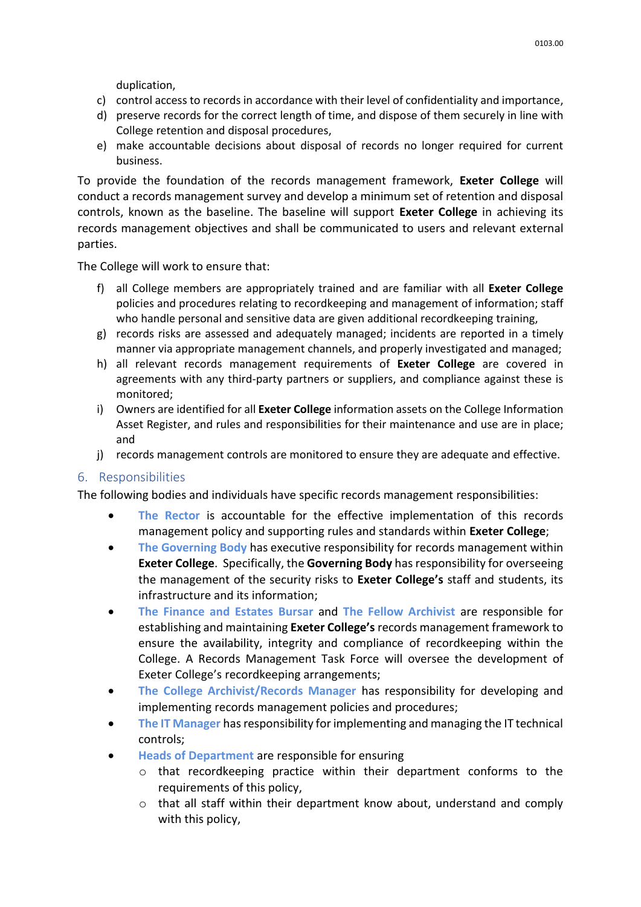duplication,

- c) control access to records in accordance with their level of confidentiality and importance,
- d) preserve records for the correct length of time, and dispose of them securely in line with College retention and disposal procedures,
- e) make accountable decisions about disposal of records no longer required for current business.

To provide the foundation of the records management framework, **Exeter College** will conduct a records management survey and develop a minimum set of retention and disposal controls, known as the baseline. The baseline will support **Exeter College** in achieving its records management objectives and shall be communicated to users and relevant external parties.

The College will work to ensure that:

- f) all College members are appropriately trained and are familiar with all **Exeter College** policies and procedures relating to recordkeeping and management of information; staff who handle personal and sensitive data are given additional recordkeeping training,
- g) records risks are assessed and adequately managed; incidents are reported in a timely manner via appropriate management channels, and properly investigated and managed;
- h) all relevant records management requirements of **Exeter College** are covered in agreements with any third-party partners or suppliers, and compliance against these is monitored;
- i) Owners are identified for all **Exeter College** information assets on the College Information Asset Register, and rules and responsibilities for their maintenance and use are in place; and
- j) records management controls are monitored to ensure they are adequate and effective.

## 6. Responsibilities

The following bodies and individuals have specific records management responsibilities:

- **The Rector** is accountable for the effective implementation of this records management policy and supporting rules and standards within **Exeter College**;
- **The Governing Body** has executive responsibility for records management within **Exeter College**. Specifically, the **Governing Body** has responsibility for overseeing the management of the security risks to **Exeter College's** staff and students, its infrastructure and its information;
- **The Finance and Estates Bursar** and **The Fellow Archivist** are responsible for establishing and maintaining **Exeter College's** records management framework to ensure the availability, integrity and compliance of recordkeeping within the College. A Records Management Task Force will oversee the development of Exeter College's recordkeeping arrangements;
- **The College Archivist/Records Manager** has responsibility for developing and implementing records management policies and procedures;
- **The IT Manager** has responsibility for implementing and managing the IT technical controls;
- **Heads of Department** are responsible for ensuring
	- o that recordkeeping practice within their department conforms to the requirements of this policy,
	- $\circ$  that all staff within their department know about, understand and comply with this policy,